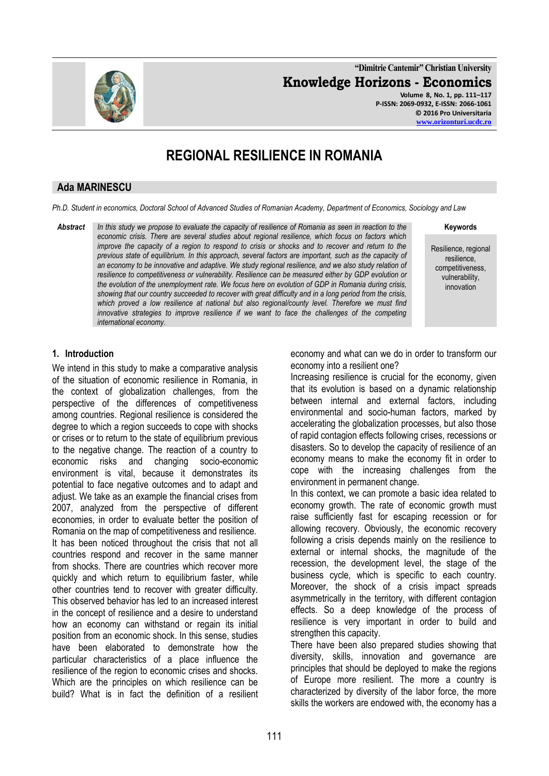

**"Dimitrie Cantemir" Christian University Knowledge Horizons - Economics Volume 8, No. 1, pp. 111–117 P-ISSN: 2069-0932, E-ISSN: 2066-1061**

**© 2016 Pro Universitaria [www.orizonturi.ucdc.ro](http://www.orizonturi.ucdc.ro/)**

# **REGIONAL RESILIENCE IN ROMANIA**

#### **Ada MARINESCU**

*Ph.D. Student in economics, Doctoral School of Advanced Studies of Romanian Academy, Department of Economics, Sociology and Law*

*Abstract In this study we propose to evaluate the capacity of resilience of Romania as seen in reaction to the economic crisis. There are several studies about regional resilience, which focus on factors which improve the capacity of a region to respond to crisis or shocks and to recover and return to the previous state of equilibrium. In this approach, several factors are important, such as the capacity of an economy to be innovative and adaptive. We study regional resilience, and we also study relation of resilience to competitiveness or vulnerability. Resilience can be measured either by GDP evolution or the evolution of the unemployment rate. We focus here on evolution of GDP in Romania during crisis, showing that our country succeeded to recover with great difficulty and in a long period from the crisis, which proved a low resilience at national but also regional/county level. Therefore we must find innovative strategies to improve resilience if we want to face the challenges of the competing international economy.*

**Keywords**

Resilience, regional resilience, competitiveness, vulnerability, innovation

## **1. Introduction**

We intend in this study to make a comparative analysis of the situation of economic resilience in Romania, in the context of globalization challenges, from the perspective of the differences of competitiveness among countries. Regional resilience is considered the degree to which a region succeeds to cope with shocks or crises or to return to the state of equilibrium previous to the negative change. The reaction of a country to economic risks and changing socio-economic environment is vital, because it demonstrates its potential to face negative outcomes and to adapt and adjust. We take as an example the financial crises from 2007, analyzed from the perspective of different economies, in order to evaluate better the position of Romania on the map of competitiveness and resilience. It has been noticed throughout the crisis that not all countries respond and recover in the same manner from shocks. There are countries which recover more quickly and which return to equilibrium faster, while other countries tend to recover with greater difficulty. This observed behavior has led to an increased interest in the concept of resilience and a desire to understand how an economy can withstand or regain its initial position from an economic shock. In this sense, studies have been elaborated to demonstrate how the particular characteristics of a place influence the resilience of the region to economic crises and shocks. Which are the principles on which resilience can be build? What is in fact the definition of a resilient

economy and what can we do in order to transform our economy into a resilient one?

Increasing resilience is crucial for the economy, given that its evolution is based on a dynamic relationship between internal and external factors, including environmental and socio-human factors, marked by accelerating the globalization processes, but also those of rapid contagion effects following crises, recessions or disasters. So to develop the capacity of resilience of an economy means to make the economy fit in order to cope with the increasing challenges from the environment in permanent change.

In this context, we can promote a basic idea related to economy growth. The rate of economic growth must raise sufficiently fast for escaping recession or for allowing recovery. Obviously, the economic recovery following a crisis depends mainly on the resilience to external or internal shocks, the magnitude of the recession, the development level, the stage of the business cycle, which is specific to each country. Moreover, the shock of a crisis impact spreads asymmetrically in the territory, with different contagion effects. So a deep knowledge of the process of resilience is very important in order to build and strengthen this capacity.

There have been also prepared studies showing that diversity, skills, innovation and governance are principles that should be deployed to make the regions of Europe more resilient. The more a country is characterized by diversity of the labor force, the more skills the workers are endowed with, the economy has a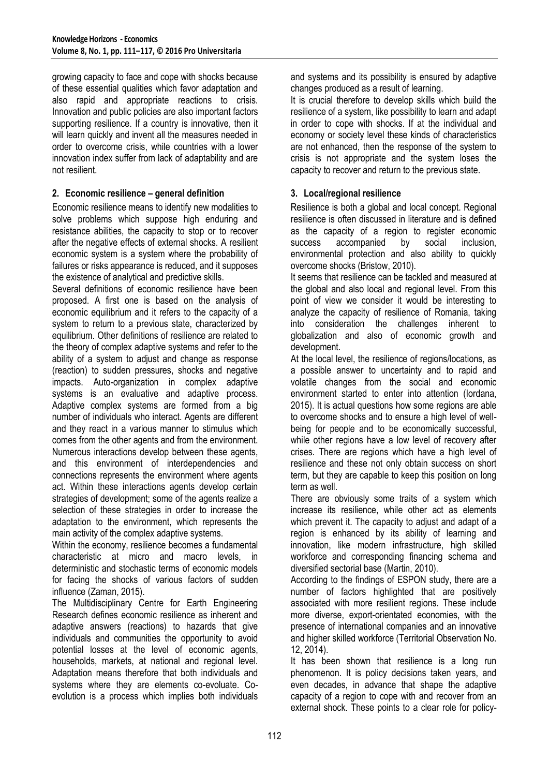growing capacity to face and cope with shocks because of these essential qualities which favor adaptation and also rapid and appropriate reactions to crisis. Innovation and public policies are also important factors supporting resilience. If a country is innovative, then it will learn quickly and invent all the measures needed in order to overcome crisis, while countries with a lower innovation index suffer from lack of adaptability and are not resilient.

## **2. Economic resilience – general definition**

Economic resilience means to identify new modalities to solve problems which suppose high enduring and resistance abilities, the capacity to stop or to recover after the negative effects of external shocks. A resilient economic system is a system where the probability of failures or risks appearance is reduced, and it supposes the existence of analytical and predictive skills.

Several definitions of economic resilience have been proposed. A first one is based on the analysis of economic equilibrium and it refers to the capacity of a system to return to a previous state, characterized by equilibrium. Other definitions of resilience are related to the theory of complex adaptive systems and refer to the ability of a system to adjust and change as response (reaction) to sudden pressures, shocks and negative impacts. Auto-organization in complex adaptive systems is an evaluative and adaptive process. Adaptive complex systems are formed from a big number of individuals who interact. Agents are different and they react in a various manner to stimulus which comes from the other agents and from the environment. Numerous interactions develop between these agents, and this environment of interdependencies and connections represents the environment where agents act. Within these interactions agents develop certain strategies of development; some of the agents realize a selection of these strategies in order to increase the adaptation to the environment, which represents the main activity of the complex adaptive systems.

Within the economy, resilience becomes a fundamental characteristic at micro and macro levels, in deterministic and stochastic terms of economic models for facing the shocks of various factors of sudden influence (Zaman, 2015).

The Multidisciplinary Centre for Earth Engineering Research defines economic resilience as inherent and adaptive answers (reactions) to hazards that give individuals and communities the opportunity to avoid potential losses at the level of economic agents, households, markets, at national and regional level. Adaptation means therefore that both individuals and systems where they are elements co-evoluate. Coevolution is a process which implies both individuals and systems and its possibility is ensured by adaptive changes produced as a result of learning.

It is crucial therefore to develop skills which build the resilience of a system, like possibility to learn and adapt in order to cope with shocks. If at the individual and economy or society level these kinds of characteristics are not enhanced, then the response of the system to crisis is not appropriate and the system loses the capacity to recover and return to the previous state.

# **3. Local/regional resilience**

Resilience is both a global and local concept. Regional resilience is often discussed in literature and is defined as the capacity of a region to register economic success accompanied by social inclusion, environmental protection and also ability to quickly overcome shocks (Bristow, 2010).

It seems that resilience can be tackled and measured at the global and also local and regional level. From this point of view we consider it would be interesting to analyze the capacity of resilience of Romania, taking into consideration the challenges inherent to globalization and also of economic growth and development.

At the local level, the resilience of regions/locations, as a possible answer to uncertainty and to rapid and volatile changes from the social and economic environment started to enter into attention (Iordana, 2015). It is actual questions how some regions are able to overcome shocks and to ensure a high level of wellbeing for people and to be economically successful, while other regions have a low level of recovery after crises. There are regions which have a high level of resilience and these not only obtain success on short term, but they are capable to keep this position on long term as well.

There are obviously some traits of a system which increase its resilience, while other act as elements which prevent it. The capacity to adjust and adapt of a region is enhanced by its ability of learning and innovation, like modern infrastructure, high skilled workforce and corresponding financing schema and diversified sectorial base (Martin, 2010).

According to the findings of ESPON study, there are a number of factors highlighted that are positively associated with more resilient regions. These include more diverse, export-orientated economies, with the presence of international companies and an innovative and higher skilled workforce (Territorial Observation No. 12, 2014).

It has been shown that resilience is a long run phenomenon. It is policy decisions taken years, and even decades, in advance that shape the adaptive capacity of a region to cope with and recover from an external shock. These points to a clear role for policy-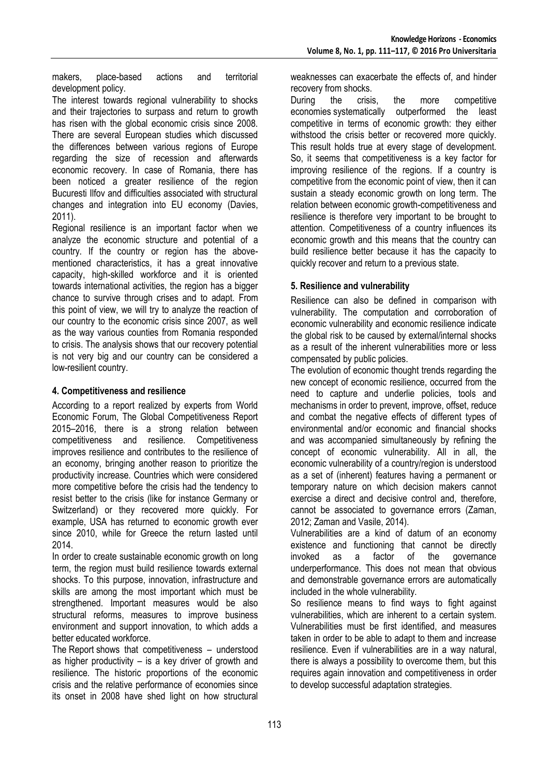makers, place-based actions and territorial development policy.

The interest towards regional vulnerability to shocks and their trajectories to surpass and return to growth has risen with the global economic crisis since 2008. There are several European studies which discussed the differences between various regions of Europe regarding the size of recession and afterwards economic recovery. In case of Romania, there has been noticed a greater resilience of the region Bucuresti Ilfov and difficulties associated with structural changes and integration into EU economy (Davies, 2011).

Regional resilience is an important factor when we analyze the economic structure and potential of a country. If the country or region has the abovementioned characteristics, it has a great innovative capacity, high-skilled workforce and it is oriented towards international activities, the region has a bigger chance to survive through crises and to adapt. From this point of view, we will try to analyze the reaction of our country to the economic crisis since 2007, as well as the way various counties from Romania responded to crisis. The analysis shows that our recovery potential is not very big and our country can be considered a low-resilient country.

## **4. Competitiveness and resilience**

According to a report realized by experts from World Economic Forum, The Global Competitiveness Report 2015–2016, there is a strong relation between competitiveness and resilience. Competitiveness improves resilience and contributes to the resilience of an economy, bringing another reason to prioritize the productivity increase. Countries which were considered more competitive before the crisis had the tendency to resist better to the crisis (like for instance Germany or Switzerland) or they recovered more quickly. For example, USA has returned to economic growth ever since 2010, while for Greece the return lasted until 2014.

In order to create sustainable economic growth on long term, the region must build resilience towards external shocks. To this purpose, innovation, infrastructure and skills are among the most important which must be strengthened. Important measures would be also structural reforms, measures to improve business environment and support innovation, to which adds a better educated workforce.

The Report shows that competitiveness – understood as higher productivity  $-$  is a key driver of growth and resilience. The historic proportions of the economic crisis and the relative performance of economies since its onset in 2008 have shed light on how structural weaknesses can exacerbate the effects of, and hinder recovery from shocks.

During the crisis, the more competitive economies systematically outperformed the least competitive in terms of economic growth: they either withstood the crisis better or recovered more quickly. This result holds true at every stage of development. So, it seems that competitiveness is a key factor for improving resilience of the regions. If a country is competitive from the economic point of view, then it can sustain a steady economic growth on long term. The relation between economic growth-competitiveness and resilience is therefore very important to be brought to attention. Competitiveness of a country influences its economic growth and this means that the country can build resilience better because it has the capacity to quickly recover and return to a previous state.

## **5. Resilience and vulnerability**

Resilience can also be defined in comparison with vulnerability. The computation and corroboration of economic vulnerability and economic resilience indicate the global risk to be caused by external/internal shocks as a result of the inherent vulnerabilities more or less compensated by public policies.

The evolution of economic thought trends regarding the new concept of economic resilience, occurred from the need to capture and underlie policies, tools and mechanisms in order to prevent, improve, offset, reduce and combat the negative effects of different types of environmental and/or economic and financial shocks and was accompanied simultaneously by refining the concept of economic vulnerability. All in all, the economic vulnerability of a country/region is understood as a set of (inherent) features having a permanent or temporary nature on which decision makers cannot exercise a direct and decisive control and, therefore, cannot be associated to governance errors (Zaman, 2012; Zaman and Vasile, 2014).

Vulnerabilities are a kind of datum of an economy existence and functioning that cannot be directly invoked as a factor of the governance underperformance. This does not mean that obvious and demonstrable governance errors are automatically included in the whole vulnerability.

So resilience means to find ways to fight against vulnerabilities, which are inherent to a certain system. Vulnerabilities must be first identified, and measures taken in order to be able to adapt to them and increase resilience. Even if vulnerabilities are in a way natural, there is always a possibility to overcome them, but this requires again innovation and competitiveness in order to develop successful adaptation strategies.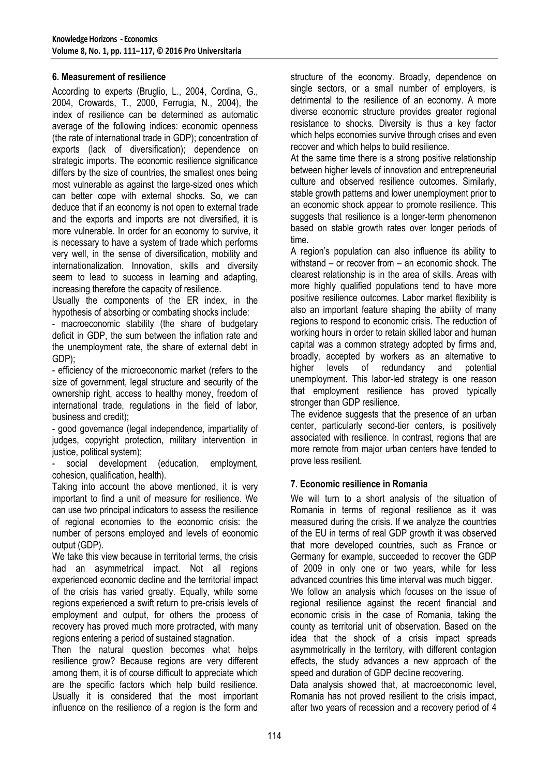#### **6. Measurement of resilience**

According to experts (Bruglio, L., 2004, Cordina, G., 2004, Crowards, T., 2000, Ferrugia, N., 2004), the index of resilience can be determined as automatic average of the following indices: economic openness (the rate of international trade in GDP); concentration of exports (lack of diversification); dependence on strategic imports. The economic resilience significance differs by the size of countries, the smallest ones being most vulnerable as against the large-sized ones which can better cope with external shocks. So, we can deduce that if an economy is not open to external trade and the exports and imports are not diversified, it is more vulnerable. In order for an economy to survive, it is necessary to have a system of trade which performs very well, in the sense of diversification, mobility and internationalization. Innovation, skills and diversity seem to lead to success in learning and adapting, increasing therefore the capacity of resilience.

Usually the components of the ER index, in the hypothesis of absorbing or combating shocks include:

- macroeconomic stability (the share of budgetary deficit in GDP, the sum between the inflation rate and the unemployment rate, the share of external debt in GDP);

- efficiency of the microeconomic market (refers to the size of government, legal structure and security of the ownership right, access to healthy money, freedom of international trade, regulations in the field of labor, business and credit);

- good governance (legal independence, impartiality of judges, copyright protection, military intervention in justice, political system);

social development (education, employment, cohesion, qualification, health).

Taking into account the above mentioned, it is very important to find a unit of measure for resilience. We can use two principal indicators to assess the resilience of regional economies to the economic crisis: the number of persons employed and levels of economic output (GDP).

We take this view because in territorial terms, the crisis had an asymmetrical impact. Not all regions experienced economic decline and the territorial impact of the crisis has varied greatly. Equally, while some regions experienced a swift return to pre-crisis levels of employment and output, for others the process of recovery has proved much more protracted, with many regions entering a period of sustained stagnation.

Then the natural question becomes what helps resilience grow? Because regions are very different among them, it is of course difficult to appreciate which are the specific factors which help build resilience. Usually it is considered that the most important influence on the resilience of a region is the form and structure of the economy. Broadly, dependence on single sectors, or a small number of employers, is detrimental to the resilience of an economy. A more diverse economic structure provides greater regional resistance to shocks. Diversity is thus a key factor which helps economies survive through crises and even recover and which helps to build resilience.

At the same time there is a strong positive relationship between higher levels of innovation and entrepreneurial culture and observed resilience outcomes. Similarly, stable growth patterns and lower unemployment prior to an economic shock appear to promote resilience. This suggests that resilience is a longer-term phenomenon based on stable growth rates over longer periods of time.

A region's population can also influence its ability to withstand – or recover from – an economic shock. The clearest relationship is in the area of skills. Areas with more highly qualified populations tend to have more positive resilience outcomes. Labor market flexibility is also an important feature shaping the ability of many regions to respond to economic crisis. The reduction of working hours in order to retain skilled labor and human capital was a common strategy adopted by firms and, broadly, accepted by workers as an alternative to higher levels of redundancy and potential unemployment. This labor-led strategy is one reason that employment resilience has proved typically stronger than GDP resilience.

The evidence suggests that the presence of an urban center, particularly second-tier centers, is positively associated with resilience. In contrast, regions that are more remote from major urban centers have tended to prove less resilient.

#### **7. Economic resilience in Romania**

We will turn to a short analysis of the situation of Romania in terms of regional resilience as it was measured during the crisis. If we analyze the countries of the EU in terms of real GDP growth it was observed that more developed countries, such as France or Germany for example, succeeded to recover the GDP of 2009 in only one or two years, while for less advanced countries this time interval was much bigger. We follow an analysis which focuses on the issue of regional resilience against the recent financial and economic crisis in the case of Romania, taking the county as territorial unit of observation. Based on the idea that the shock of a crisis impact spreads asymmetrically in the territory, with different contagion effects, the study advances a new approach of the speed and duration of GDP decline recovering.

Data analysis showed that, at macroeconomic level, Romania has not proved resilient to the crisis impact, after two years of recession and a recovery period of 4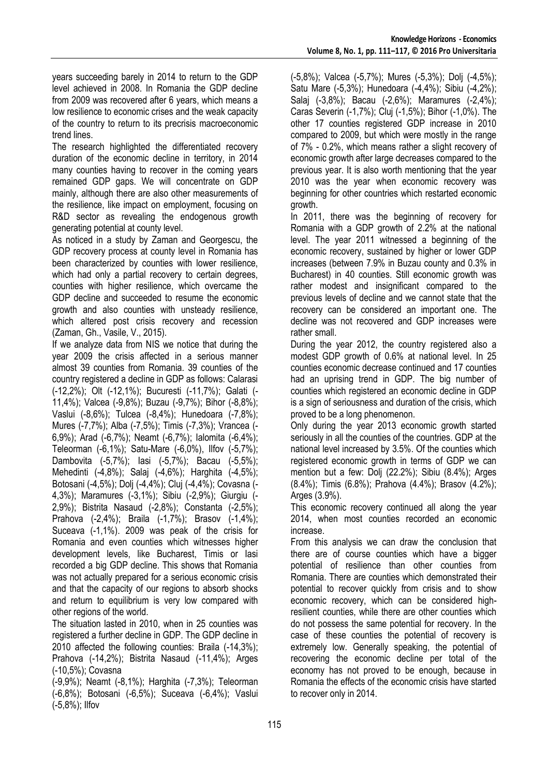years succeeding barely in 2014 to return to the GDP level achieved in 2008. In Romania the GDP decline from 2009 was recovered after 6 years, which means a low resilience to economic crises and the weak capacity of the country to return to its precrisis macroeconomic trend lines.

The research highlighted the differentiated recovery duration of the economic decline in territory, in 2014 many counties having to recover in the coming years remained GDP gaps. We will concentrate on GDP mainly, although there are also other measurements of the resilience, like impact on employment, focusing on R&D sector as revealing the endogenous growth generating potential at county level.

As noticed in a study by Zaman and Georgescu, the GDP recovery process at county level in Romania has been characterized by counties with lower resilience, which had only a partial recovery to certain degrees, counties with higher resilience, which overcame the GDP decline and succeeded to resume the economic growth and also counties with unsteady resilience, which altered post crisis recovery and recession (Zaman, Gh., Vasile, V., 2015).

If we analyze data from NIS we notice that during the year 2009 the crisis affected in a serious manner almost 39 counties from Romania. 39 counties of the country registered a decline in GDP as follows: Calarasi (-12,2%); Olt (-12,1%); Bucuresti (-11,7%); Galati (- 11,4%); Valcea (-9,8%); Buzau (-9,7%); Bihor (-8,8%); Vaslui (-8,6%); Tulcea (-8,4%); Hunedoara (-7,8%); Mures (-7,7%); Alba (-7,5%); Timis (-7,3%); Vrancea (- 6,9%); Arad (-6,7%); Neamt (-6,7%); Ialomita (-6,4%); Teleorman (-6,1%); Satu-Mare (-6,0%), Ilfov (-5,7%); Dambovita (-5,7%); Iasi (-5,7%); Bacau (-5,5%); Mehedinti (-4,8%); Salaj (-4,6%); Harghita (-4,5%); Botosani (-4,5%); Dolj (-4,4%); Cluj (-4,4%); Covasna (- 4,3%); Maramures (-3,1%); Sibiu (-2,9%); Giurgiu (- 2,9%); Bistrita Nasaud (-2,8%); Constanta (-2,5%); Prahova (-2,4%); Braila (-1,7%); Brasov (-1,4%); Suceava (-1,1%). 2009 was peak of the crisis for Romania and even counties which witnesses higher development levels, like Bucharest, Timis or Iasi recorded a big GDP decline. This shows that Romania was not actually prepared for a serious economic crisis and that the capacity of our regions to absorb shocks and return to equilibrium is very low compared with other regions of the world.

The situation lasted in 2010, when in 25 counties was registered a further decline in GDP. The GDP decline in 2010 affected the following counties: Braila (-14,3%); Prahova (-14,2%); Bistrita Nasaud (-11,4%); Arges (-10,5%); Covasna

(-9,9%); Neamt (-8,1%); Harghita (-7,3%); Teleorman (-6,8%); Botosani (-6,5%); Suceava (-6,4%); Vaslui (-5,8%); Ilfov

(-5,8%); Valcea (-5,7%); Mures (-5,3%); Dolj (-4,5%); Satu Mare (-5,3%); Hunedoara (-4,4%); Sibiu (-4,2%); Salaj (-3,8%); Bacau (-2,6%); Maramures (-2,4%); Caras Severin (-1,7%); Cluj (-1,5%); Bihor (-1,0%). The other 17 counties registered GDP increase in 2010 compared to 2009, but which were mostly in the range of 7% - 0.2%, which means rather a slight recovery of economic growth after large decreases compared to the previous year. It is also worth mentioning that the year 2010 was the year when economic recovery was beginning for other countries which restarted economic growth.

In 2011, there was the beginning of recovery for Romania with a GDP growth of 2.2% at the national level. The year 2011 witnessed a beginning of the economic recovery, sustained by higher or lower GDP increases (between 7.9% in Buzau county and 0.3% in Bucharest) in 40 counties. Still economic growth was rather modest and insignificant compared to the previous levels of decline and we cannot state that the recovery can be considered an important one. The decline was not recovered and GDP increases were rather small.

During the year 2012, the country registered also a modest GDP growth of 0.6% at national level. In 25 counties economic decrease continued and 17 counties had an uprising trend in GDP. The big number of counties which registered an economic decline in GDP is a sign of seriousness and duration of the crisis, which proved to be a long phenomenon.

Only during the year 2013 economic growth started seriously in all the counties of the countries. GDP at the national level increased by 3.5%. Of the counties which registered economic growth in terms of GDP we can mention but a few: Dolj (22.2%); Sibiu (8.4%); Arges (8.4%); Timis (6.8%); Prahova (4.4%); Brasov (4.2%); Arges (3.9%).

This economic recovery continued all along the year 2014, when most counties recorded an economic increase.

From this analysis we can draw the conclusion that there are of course counties which have a bigger potential of resilience than other counties from Romania. There are counties which demonstrated their potential to recover quickly from crisis and to show economic recovery, which can be considered highresilient counties, while there are other counties which do not possess the same potential for recovery. In the case of these counties the potential of recovery is extremely low. Generally speaking, the potential of recovering the economic decline per total of the economy has not proved to be enough, because in Romania the effects of the economic crisis have started to recover only in 2014.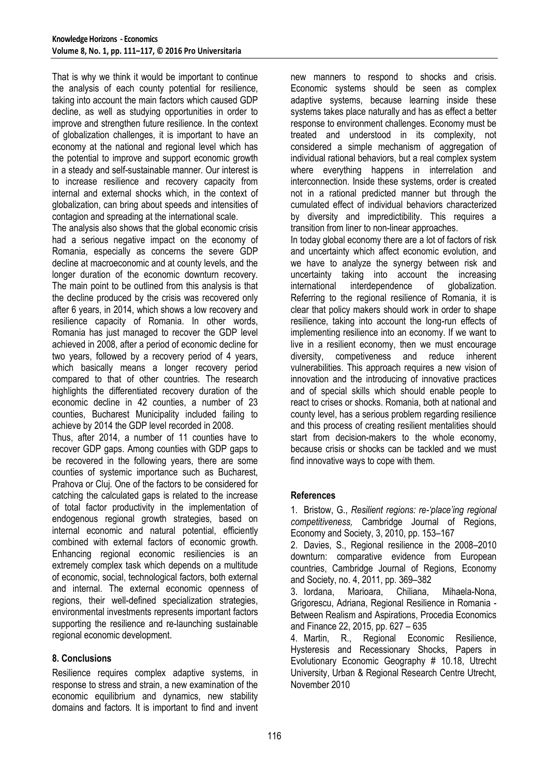That is why we think it would be important to continue the analysis of each county potential for resilience, taking into account the main factors which caused GDP decline, as well as studying opportunities in order to improve and strengthen future resilience. In the context of globalization challenges, it is important to have an economy at the national and regional level which has the potential to improve and support economic growth in a steady and self-sustainable manner. Our interest is to increase resilience and recovery capacity from internal and external shocks which, in the context of globalization, can bring about speeds and intensities of contagion and spreading at the international scale.

The analysis also shows that the global economic crisis had a serious negative impact on the economy of Romania, especially as concerns the severe GDP decline at macroeconomic and at county levels, and the longer duration of the economic downturn recovery. The main point to be outlined from this analysis is that the decline produced by the crisis was recovered only after 6 years, in 2014, which shows a low recovery and resilience capacity of Romania. In other words, Romania has just managed to recover the GDP level achieved in 2008, after a period of economic decline for two years, followed by a recovery period of 4 years, which basically means a longer recovery period compared to that of other countries. The research highlights the differentiated recovery duration of the economic decline in 42 counties, a number of 23 counties, Bucharest Municipality included failing to achieve by 2014 the GDP level recorded in 2008.

Thus, after 2014, a number of 11 counties have to recover GDP gaps. Among counties with GDP gaps to be recovered in the following years, there are some counties of systemic importance such as Bucharest, Prahova or Cluj. One of the factors to be considered for catching the calculated gaps is related to the increase of total factor productivity in the implementation of endogenous regional growth strategies, based on internal economic and natural potential, efficiently combined with external factors of economic growth. Enhancing regional economic resiliencies is an extremely complex task which depends on a multitude of economic, social, technological factors, both external and internal. The external economic openness of regions, their well-defined specialization strategies, environmental investments represents important factors supporting the resilience and re-launching sustainable regional economic development.

## **8. Conclusions**

Resilience requires complex adaptive systems, in response to stress and strain, a new examination of the economic equilibrium and dynamics, new stability domains and factors. It is important to find and invent new manners to respond to shocks and crisis. Economic systems should be seen as complex adaptive systems, because learning inside these systems takes place naturally and has as effect a better response to environment challenges. Economy must be treated and understood in its complexity, not considered a simple mechanism of aggregation of individual rational behaviors, but a real complex system where everything happens in interrelation and interconnection. Inside these systems, order is created not in a rational predicted manner but through the cumulated effect of individual behaviors characterized by diversity and impredictibility. This requires a transition from liner to non-linear approaches.

In today global economy there are a lot of factors of risk and uncertainty which affect economic evolution, and we have to analyze the synergy between risk and uncertainty taking into account the increasing international interdependence of globalization. Referring to the regional resilience of Romania, it is clear that policy makers should work in order to shape resilience, taking into account the long-run effects of implementing resilience into an economy. If we want to live in a resilient economy, then we must encourage diversity, competiveness and reduce inherent vulnerabilities. This approach requires a new vision of innovation and the introducing of innovative practices and of special skills which should enable people to react to crises or shocks. Romania, both at national and county level, has a serious problem regarding resilience and this process of creating resilient mentalities should start from decision-makers to the whole economy, because crisis or shocks can be tackled and we must find innovative ways to cope with them.

#### **References**

1. Bristow, G., *Resilient regions: re-'place'ing regional competitiveness,* Cambridge Journal of Regions, Economy and Society, 3, 2010, pp. 153–167

2. Davies, S., Regional resilience in the 2008–2010 downturn: comparative evidence from European countries, Cambridge Journal of Regions, Economy and Society, no. 4, 2011, pp. 369–382

3. Iordana, Marioara, Chiliana, Mihaela-Nona, Grigorescu, Adriana, Regional Resilience in Romania - Between Realism and Aspirations, Procedia Economics and Finance 22, 2015, pp. 627 – 635

4. Martin, R., Regional Economic Resilience, Hysteresis and Recessionary Shocks, Papers in Evolutionary Economic Geography # 10.18, Utrecht University, Urban & Regional Research Centre Utrecht, November 2010